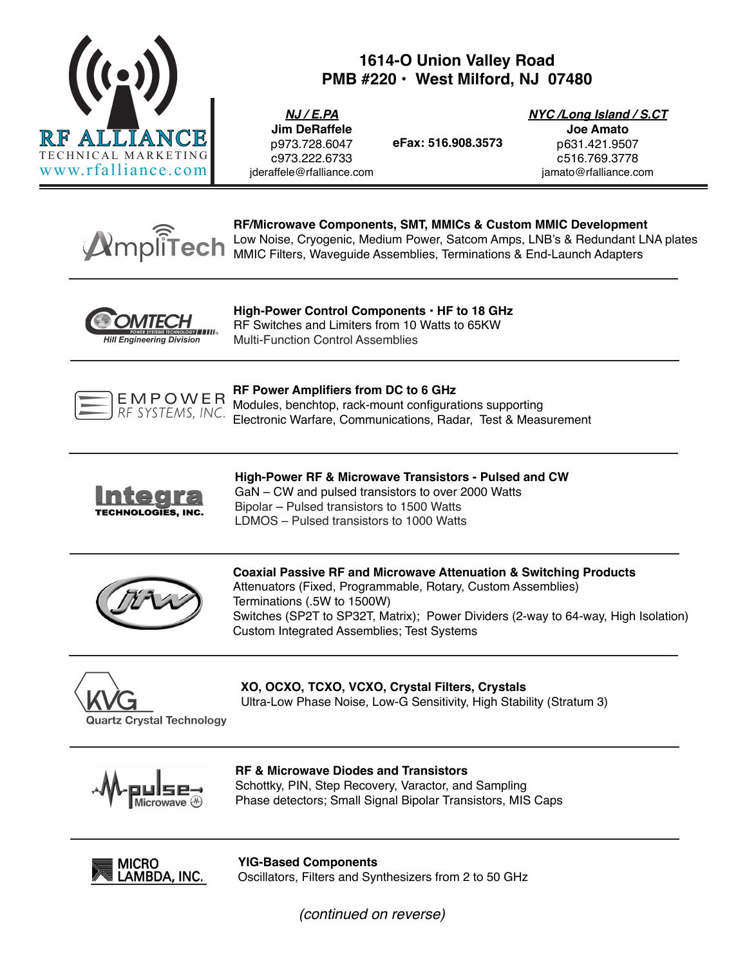

# **1614-O Union Valley Road PMB #220 • West Milford, NJ 07480**

**eFax: 516.908.3573**

*NJ / E.PA* **Jim DeRaffele** p973.728.6047 c973.222.6733 jderaffele@rfalliance.com *NYC /Long Island / S.CT*

**Joe Amato** p631.421.9507 c516.769.3778 jamato@rfalliance.com



**RF/Microwave Components, SMT, MMICs & Custom MMIC Development** Low Noise, Cryogenic, Medium Power, Satcom Amps, LNB's & Redundant LNA plates MMIC Filters, Waveguide Assemblies, Terminations & End-Launch Adapters



**High-Power Control Components • HF to 18 GHz** RF Switches and Limiters from 10 Watts to 65KW Multi-Function Control Assemblies



# **RF Power Amplifiers from DC to 6 GHz**

Modules, benchtop, rack-mount configurations supporting Electronic Warfare, Communications, Radar, Test & Measurement



**High-Power RF & Microwave Transistors - Pulsed and CW** GaN – CW and pulsed transistors to over 2000 Watts Bipolar – Pulsed transistors to 1500 Watts LDMOS – Pulsed transistors to 1000 Watts



**Coaxial Passive RF and Microwave Attenuation & Switching Products** Attenuators (Fixed, Programmable, Rotary, Custom Assemblies) Terminations (.5W to 1500W) Switches (SP2T to SP32T, Matrix); Power Dividers (2-way to 64-way, High Isolation) Custom Integrated Assemblies; Test Systems



**XO, OCXO, TCXO, VCXO, Crystal Filters, Crystals** Ultra-Low Phase Noise, Low-G Sensitivity, High Stability (Stratum 3)



# **RF & Microwave Diodes and Transistors** Schottky, PIN, Step Recovery, Varactor, and Sampling

Phase detectors; Small Signal Bipolar Transistors, MIS Caps



**YIG-Based Components** Oscillators, Filters and Synthesizers from 2 to 50 GHz

*(continued on reverse)*